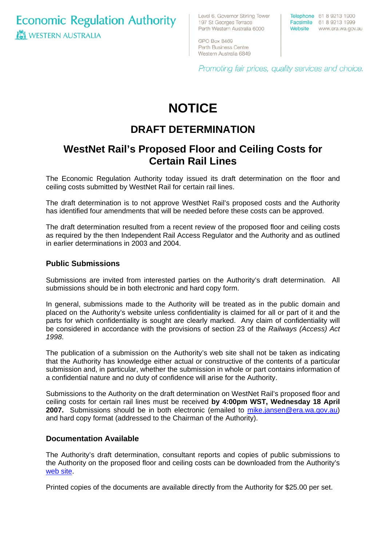**Economic Regulation Authority WESTERN AUSTRALIA** 

Level 6, Governor Stirling Tower 197 St Georges Terrace Perth Western Australia 6000

GPO Box 8469 Perth Business Centre Western Australia 6849

Telephone 61 8 9213 1900 Facsimile 61 8 9213 1999 Website www.era.wa.gov.au

Promoting fair prices, quality services and choice.

# **NOTICE**

## **DRAFT DETERMINATION**

### **WestNet Rail's Proposed Floor and Ceiling Costs for Certain Rail Lines**

The Economic Regulation Authority today issued its draft determination on the floor and ceiling costs submitted by WestNet Rail for certain rail lines.

The draft determination is to not approve WestNet Rail's proposed costs and the Authority has identified four amendments that will be needed before these costs can be approved.

The draft determination resulted from a recent review of the proposed floor and ceiling costs as required by the then Independent Rail Access Regulator and the Authority and as outlined in earlier determinations in 2003 and 2004.

#### **Public Submissions**

Submissions are invited from interested parties on the Authority's draft determination. All submissions should be in both electronic and hard copy form.

In general, submissions made to the Authority will be treated as in the public domain and placed on the Authority's website unless confidentiality is claimed for all or part of it and the parts for which confidentiality is sought are clearly marked. Any claim of confidentiality will be considered in accordance with the provisions of section 23 of the *Railways (Access) Act 1998*.

The publication of a submission on the Authority's web site shall not be taken as indicating that the Authority has knowledge either actual or constructive of the contents of a particular submission and, in particular, whether the submission in whole or part contains information of a confidential nature and no duty of confidence will arise for the Authority.

Submissions to the Authority on the draft determination on WestNet Rail's proposed floor and ceiling costs for certain rail lines must be received **by 4:00pm WST, Wednesday 18 April 2007.** Submissions should be in both electronic (emailed to [mike.jansen@era.wa.gov.au\)](mailto:mike.jansen@era.wa.gov.au) and hard copy format (addressed to the Chairman of the Authority).

#### **Documentation Available**

The Authority's draft determination, consultant reports and copies of public submissions to the Authority on the proposed floor and ceiling costs can be downloaded from the Authority's [web site](http://www.era.wa.gov.au/rail/floorCeilingWestNetRail2006Review.cfm).

Printed copies of the documents are available directly from the Authority for \$25.00 per set.